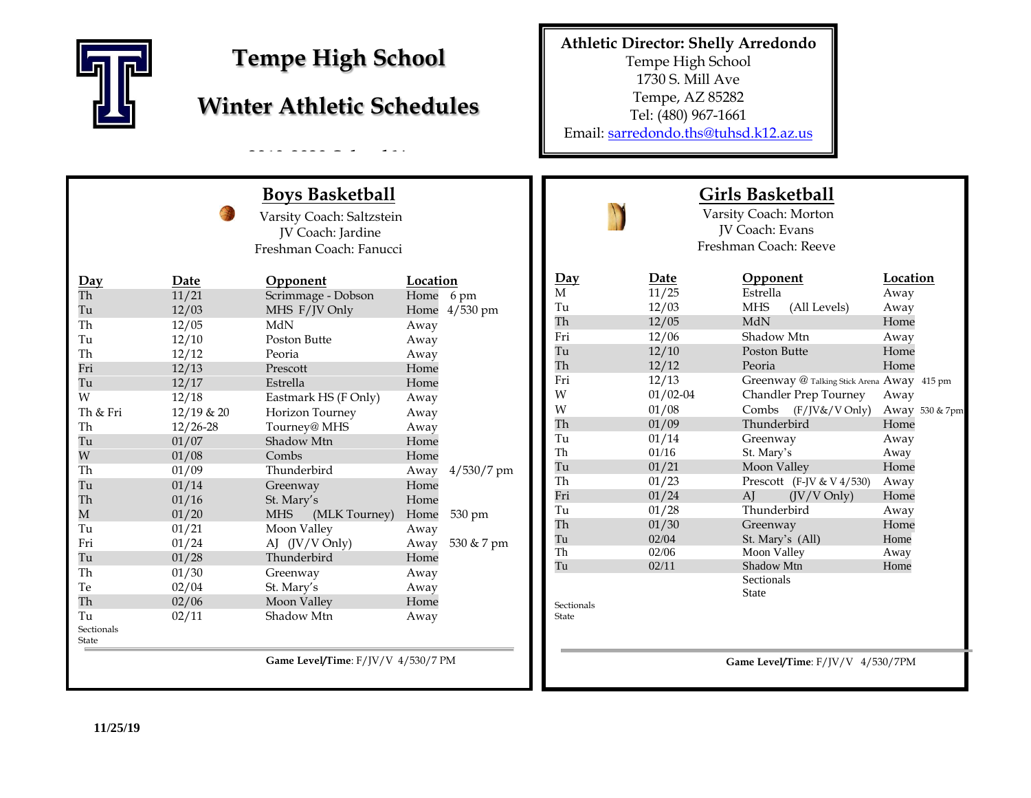